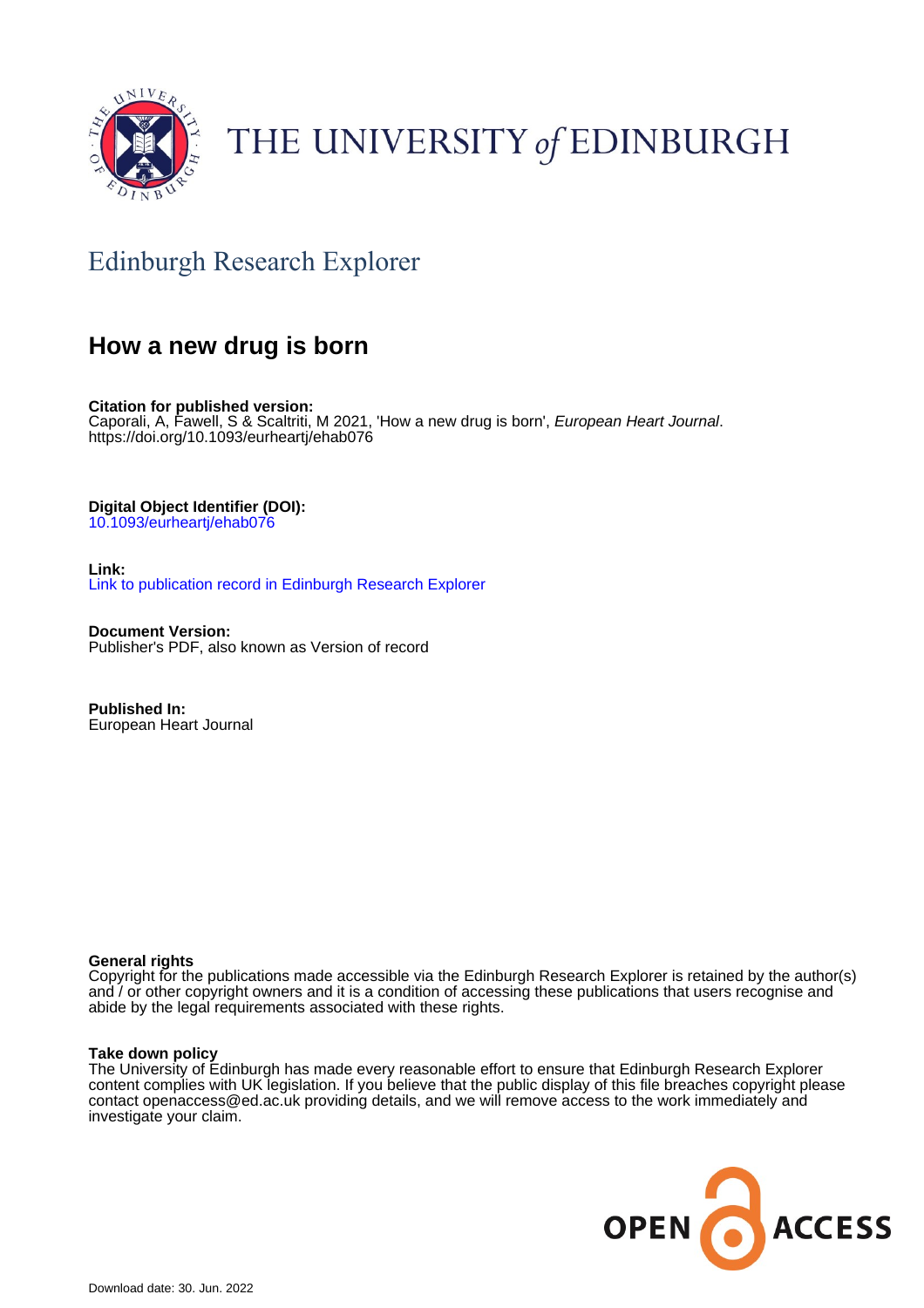

# THE UNIVERSITY of EDINBURGH

## Edinburgh Research Explorer

### **How a new drug is born**

**Citation for published version:** Caporali, A, Fawell, S & Scaltriti, M 2021, 'How a new drug is born', European Heart Journal. <https://doi.org/10.1093/eurheartj/ehab076>

**Digital Object Identifier (DOI):**

[10.1093/eurheartj/ehab076](https://doi.org/10.1093/eurheartj/ehab076)

**Link:** [Link to publication record in Edinburgh Research Explorer](https://www.research.ed.ac.uk/en/publications/52afa73d-77da-47c7-9c24-609dccfe8901)

**Document Version:** Publisher's PDF, also known as Version of record

**Published In:** European Heart Journal

#### **General rights**

Copyright for the publications made accessible via the Edinburgh Research Explorer is retained by the author(s) and / or other copyright owners and it is a condition of accessing these publications that users recognise and abide by the legal requirements associated with these rights.

#### **Take down policy**

The University of Edinburgh has made every reasonable effort to ensure that Edinburgh Research Explorer content complies with UK legislation. If you believe that the public display of this file breaches copyright please contact openaccess@ed.ac.uk providing details, and we will remove access to the work immediately and investigate your claim.

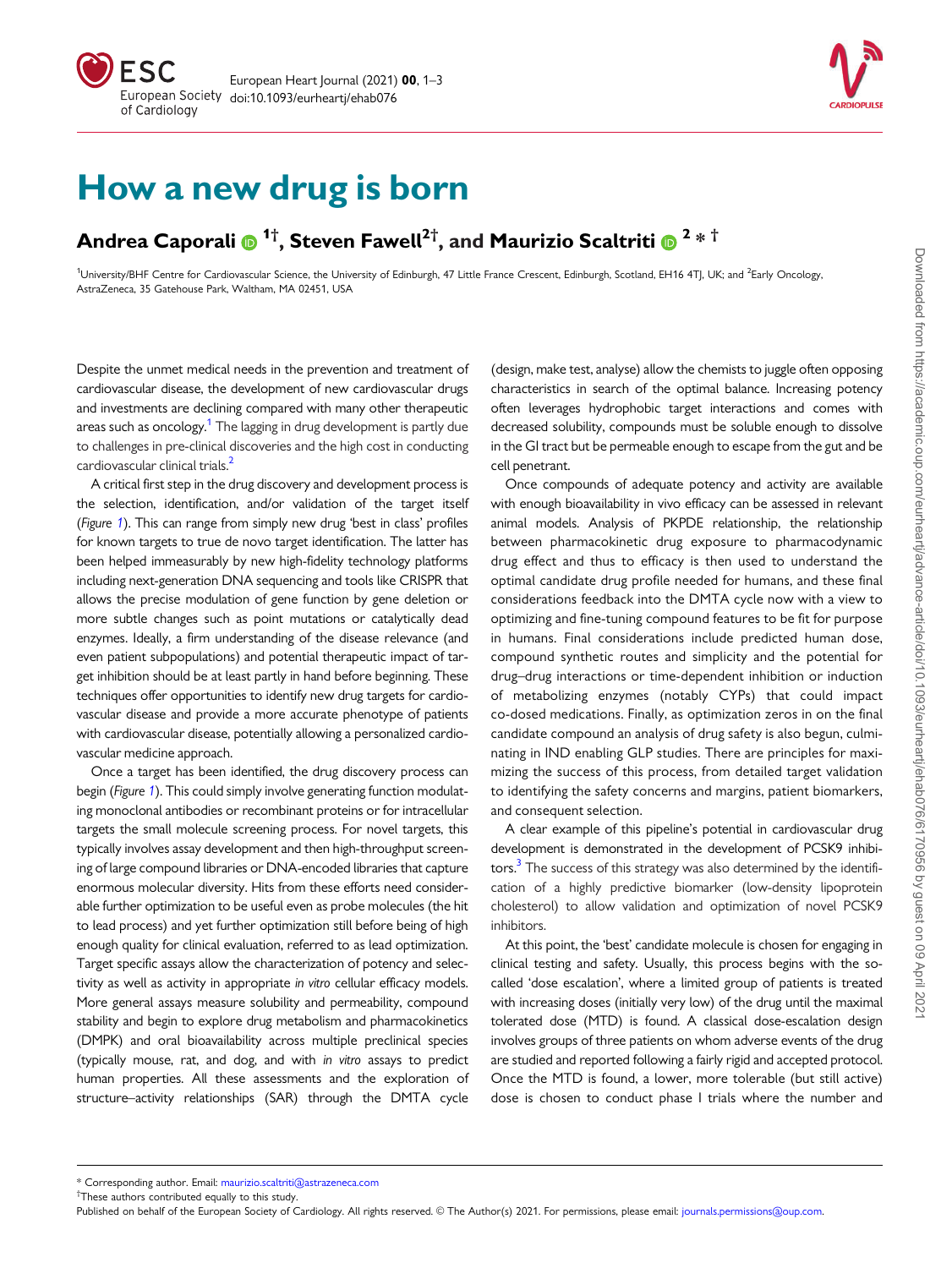



# How a new drug is born

### Andrea Caporali  $\bm{\Theta}$  <sup>1†</sup>, Steven Fawell<sup>2†</sup>, and Maurizio Scaltriti  $\bm{\Theta}$  <sup>2</sup> \* <sup>†</sup>

<sup>1</sup>University/BHF Centre for Cardiovascular Science, the University of Edinburgh, 47 Little France Crescent, Edinburgh, Scotland, EH16 4TJ, UK; and <sup>2</sup>Early Oncology, AstraZeneca, 35 Gatehouse Park, Waltham, MA 02451, USA

Despite the unmet medical needs in the prevention and treatment of cardiovascular disease, the development of new cardiovascular drugs and investments are declining compared with many other therapeutic areas such as oncology.<sup>1</sup> The lagging in drug development is partly due to challenges in pre-clinical discoveries and the high cost in conducting cardiovascular clinical trials.<sup>2</sup>

A critical first step in the drug discovery and development process is the selection, identification, and/or validation of the target itself (Figure [1](#page-2-0)). This can range from simply new drug 'best in class' profiles for known targets to true de novo target identification. The latter has been helped immeasurably by new high-fidelity technology platforms including next-generation DNA sequencing and tools like CRISPR that allows the precise modulation of gene function by gene deletion or more subtle changes such as point mutations or catalytically dead enzymes. Ideally, a firm understanding of the disease relevance (and even patient subpopulations) and potential therapeutic impact of target inhibition should be at least partly in hand before beginning. These techniques offer opportunities to identify new drug targets for cardiovascular disease and provide a more accurate phenotype of patients with cardiovascular disease, potentially allowing a personalized cardiovascular medicine approach.

Once a target has been identified, the drug discovery process can begin (Figure 1). This could simply involve generating function modulating monoclonal antibodies or recombinant proteins or for intracellular targets the small molecule screening process. For novel targets, this typically involves assay development and then high-throughput screening of large compound libraries or DNA-encoded libraries that capture enormous molecular diversity. Hits from these efforts need considerable further optimization to be useful even as probe molecules (the hit to lead process) and yet further optimization still before being of high enough quality for clinical evaluation, referred to as lead optimization. Target specific assays allow the characterization of potency and selectivity as well as activity in appropriate in vitro cellular efficacy models. More general assays measure solubility and permeability, compound stability and begin to explore drug metabolism and pharmacokinetics (DMPK) and oral bioavailability across multiple preclinical species (typically mouse, rat, and dog, and with in vitro assays to predict human properties. All these assessments and the exploration of structure–activity relationships (SAR) through the DMTA cycle

(design, make test, analyse) allow the chemists to juggle often opposing characteristics in search of the optimal balance. Increasing potency often leverages hydrophobic target interactions and comes with decreased solubility, compounds must be soluble enough to dissolve in the GI tract but be permeable enough to escape from the gut and be cell penetrant.

Once compounds of adequate potency and activity are available with enough bioavailability in vivo efficacy can be assessed in relevant animal models. Analysis of PKPDE relationship, the relationship between pharmacokinetic drug exposure to pharmacodynamic drug effect and thus to efficacy is then used to understand the optimal candidate drug profile needed for humans, and these final considerations feedback into the DMTA cycle now with a view to optimizing and fine-tuning compound features to be fit for purpose in humans. Final considerations include predicted human dose, compound synthetic routes and simplicity and the potential for drug–drug interactions or time-dependent inhibition or induction of metabolizing enzymes (notably CYPs) that could impact co-dosed medications. Finally, as optimization zeros in on the final candidate compound an analysis of drug safety is also begun, culminating in IND enabling GLP studies. There are principles for maximizing the success of this process, from detailed target validation to identifying the safety concerns and margins, patient biomarkers, and consequent selection.

A clear example of this pipeline's potential in cardiovascular drug development is demonstrated in the development of PCSK9 inhibitors.<sup>3</sup> The success of this strategy was also determined by the identification of a highly predictive biomarker (low-density lipoprotein cholesterol) to allow validation and optimization of novel PCSK9 inhibitors.

At this point, the 'best' candidate molecule is chosen for engaging in clinical testing and safety. Usually, this process begins with the socalled 'dose escalation', where a limited group of patients is treated with increasing doses (initially very low) of the drug until the maximal tolerated dose (MTD) is found. A classical dose-escalation design involves groups of three patients on whom adverse events of the drug are studied and reported following a fairly rigid and accepted protocol. Once the MTD is found, a lower, more tolerable (but still active) dose is chosen to conduct phase I trials where the number and

† [These authors contributed equally to this study.](mailto:maurizio.scaltriti@astrazeneca.com)

<sup>\*</sup> Corresponding author. Email: [maurizio.scaltriti@astrazeneca.com](mailto:maurizio.scaltriti@astrazeneca.com)

[Published on behalf of the European Society of Cardiology. All rights reserved.](mailto:maurizio.scaltriti@astrazeneca.com) © [The Author\(s\) 2021. For permissions, please email:](mailto:journals.permissions@oup.com) journals.permissions@oup.com.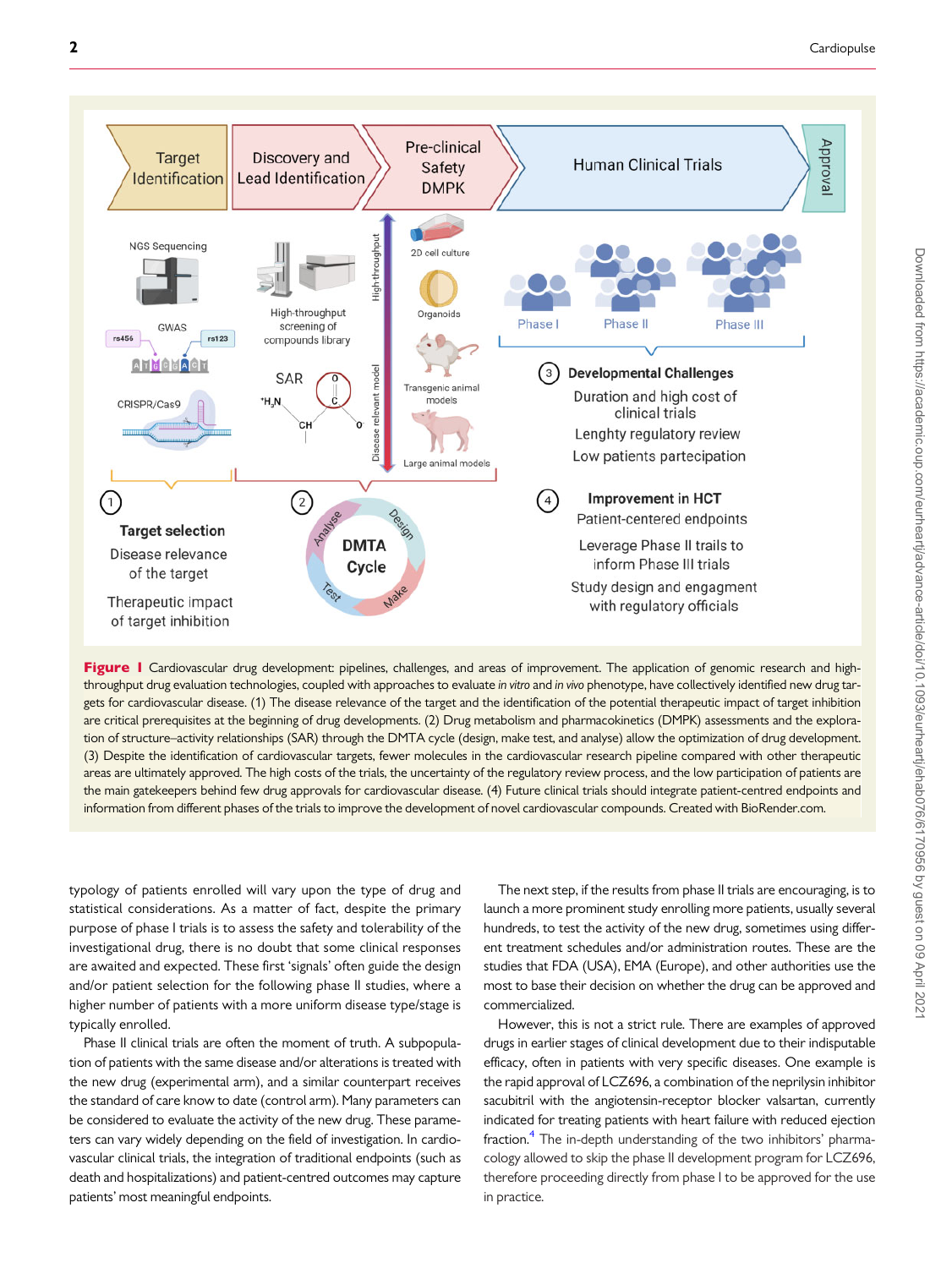<span id="page-2-0"></span>

Figure I Cardiovascular drug development: pipelines, challenges, and areas of improvement. The application of genomic research and highthroughput drug evaluation technologies, coupled with approaches to evaluate in vitro and in vivo phenotype, have collectively identified new drug targets for cardiovascular disease. (1) The disease relevance of the target and the identification of the potential therapeutic impact of target inhibition are critical prerequisites at the beginning of drug developments. (2) Drug metabolism and pharmacokinetics (DMPK) assessments and the exploration of structure–activity relationships (SAR) through the DMTA cycle (design, make test, and analyse) allow the optimization of drug development. (3) Despite the identification of cardiovascular targets, fewer molecules in the cardiovascular research pipeline compared with other therapeutic areas are ultimately approved. The high costs of the trials, the uncertainty of the regulatory review process, and the low participation of patients are the main gatekeepers behind few drug approvals for cardiovascular disease. (4) Future clinical trials should integrate patient-centred endpoints and information from different phases of the trials to improve the development of novel cardiovascular compounds. Created with BioRender.com.

typology of patients enrolled will vary upon the type of drug and statistical considerations. As a matter of fact, despite the primary purpose of phase I trials is to assess the safety and tolerability of the investigational drug, there is no doubt that some clinical responses are awaited and expected. These first 'signals' often guide the design and/or patient selection for the following phase II studies, where a higher number of patients with a more uniform disease type/stage is typically enrolled.

Phase II clinical trials are often the moment of truth. A subpopulation of patients with the same disease and/or alterations is treated with the new drug (experimental arm), and a similar counterpart receives the standard of care know to date (control arm). Many parameters can be considered to evaluate the activity of the new drug. These parameters can vary widely depending on the field of investigation. In cardiovascular clinical trials, the integration of traditional endpoints (such as death and hospitalizations) and patient-centred outcomes may capture patients' most meaningful endpoints.

The next step, if the results from phase II trials are encouraging, is to launch a more prominent study enrolling more patients, usually several hundreds, to test the activity of the new drug, sometimes using different treatment schedules and/or administration routes. These are the studies that FDA (USA), EMA (Europe), and other authorities use the most to base their decision on whether the drug can be approved and commercialized.

However, this is not a strict rule. There are examples of approved drugs in earlier stages of clinical development due to their indisputable efficacy, often in patients with very specific diseases. One example is the rapid approval of LCZ696, a combination of the neprilysin inhibitor sacubitril with the angiotensin-receptor blocker valsartan, currently indicated for treating patients with heart failure with reduced ejection fraction.<sup>4</sup> The in-depth understanding of the two inhibitors' pharmacology allowed to skip the phase II development program for LCZ696, therefore proceeding directly from phase I to be approved for the use in practice.